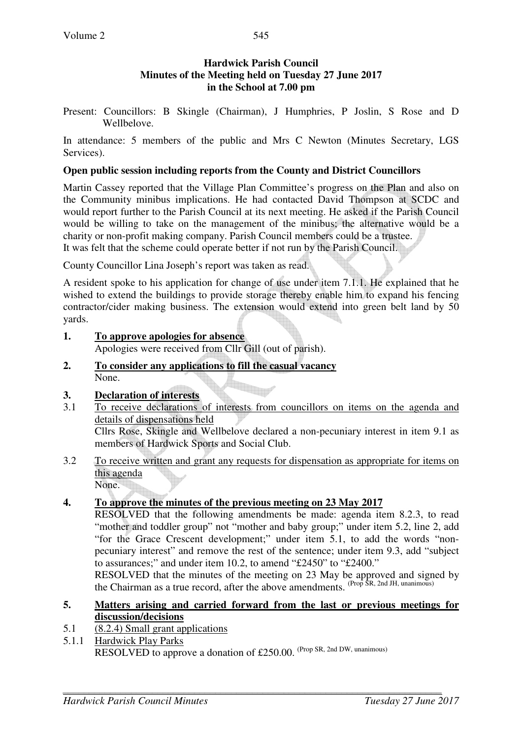# **Hardwick Parish Council Minutes of the Meeting held on Tuesday 27 June 2017 in the School at 7.00 pm**

Present: Councillors: B Skingle (Chairman), J Humphries, P Joslin, S Rose and D Wellbelove.

In attendance: 5 members of the public and Mrs C Newton (Minutes Secretary, LGS Services).

# **Open public session including reports from the County and District Councillors**

Martin Cassey reported that the Village Plan Committee's progress on the Plan and also on the Community minibus implications. He had contacted David Thompson at SCDC and would report further to the Parish Council at its next meeting. He asked if the Parish Council would be willing to take on the management of the minibus; the alternative would be a charity or non-profit making company. Parish Council members could be a trustee. It was felt that the scheme could operate better if not run by the Parish Council.

County Councillor Lina Joseph's report was taken as read.

A resident spoke to his application for change of use under item 7.1.1. He explained that he wished to extend the buildings to provide storage thereby enable him to expand his fencing contractor/cider making business. The extension would extend into green belt land by 50 yards.

**1. To approve apologies for absence**

Apologies were received from Cllr Gill (out of parish).

**2. To consider any applications to fill the casual vacancy** None.

# **3. Declaration of interests**

3.1 To receive declarations of interests from councillors on items on the agenda and details of dispensations held

Cllrs Rose, Skingle and Wellbelove declared a non-pecuniary interest in item 9.1 as members of Hardwick Sports and Social Club.

3.2 To receive written and grant any requests for dispensation as appropriate for items on this agenda None.

# **4. To approve the minutes of the previous meeting on 23 May 2017**

RESOLVED that the following amendments be made: agenda item 8.2.3, to read "mother and toddler group" not "mother and baby group;" under item 5.2, line 2, add "for the Grace Crescent development;" under item 5.1, to add the words "nonpecuniary interest" and remove the rest of the sentence; under item 9.3, add "subject to assurances;" and under item 10.2, to amend "£2450" to "£2400."

RESOLVED that the minutes of the meeting on 23 May be approved and signed by the Chairman as a true record, after the above amendments.  $(Prop\, \tilde{S}R, 2nd\, JH, unanimous)$ 

## **5. Matters arising and carried forward from the last or previous meetings for discussion/decisions**

- 5.1 (8.2.4) Small grant applications
- 5.1.1 Hardwick Play Parks RESOLVED to approve a donation of £250.00. (Prop SR, 2nd DW, unanimous)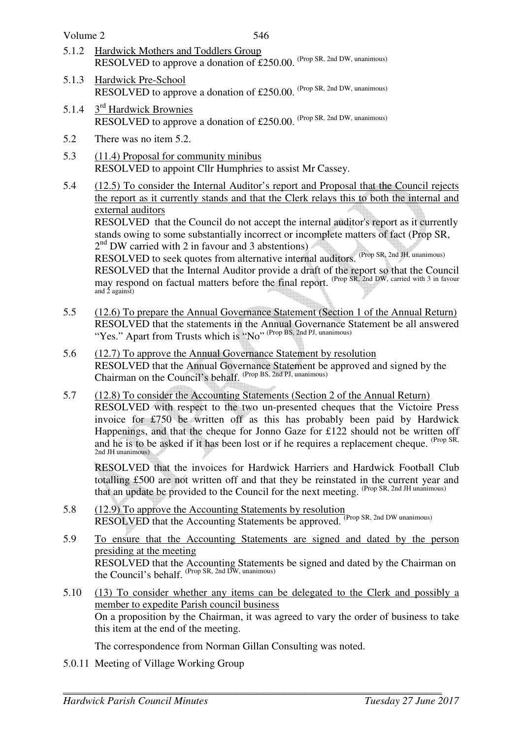Volume 2

- 5.1.2 Hardwick Mothers and Toddlers Group RESOLVED to approve a donation of £250.00. (Prop SR, 2nd DW, unanimous)
- 5.1.3 Hardwick Pre-School RESOLVED to approve a donation of £250.00. (Prop SR, 2nd DW, unanimous)
- 5.1.4 3<sup>rd</sup> Hardwick Brownies RESOLVED to approve a donation of £250.00. (Prop SR, 2nd DW, unanimous)
- 5.2 There was no item 5.2.
- 5.3 (11.4) Proposal for community minibus RESOLVED to appoint Cllr Humphries to assist Mr Cassey.
- 5.4 (12.5) To consider the Internal Auditor's report and Proposal that the Council rejects the report as it currently stands and that the Clerk relays this to both the internal and external auditors

RESOLVED that the Council do not accept the internal auditor's report as it currently stands owing to some substantially incorrect or incomplete matters of fact (Prop SR, 2<sup>nd</sup> DW carried with 2 in favour and 3 abstentions)

RESOLVED to seek quotes from alternative internal auditors. (Prop SR, 2nd JH, unanimous)

 RESOLVED that the Internal Auditor provide a draft of the report so that the Council may respond on factual matters before the final report. <sup>(Prop SR, 2nd DW, carried with 3 in favour and 2 against)</sup>

- 5.5 (12.6) To prepare the Annual Governance Statement (Section 1 of the Annual Return) RESOLVED that the statements in the Annual Governance Statement be all answered "Yes." Apart from Trusts which is "No" (Prop BS, 2nd PJ, unanimous)
- 5.6 (12.7) To approve the Annual Governance Statement by resolution RESOLVED that the Annual Governance Statement be approved and signed by the Chairman on the Council's behalf. (Prop BS, 2nd PJ, unanimous)
- 5.7 (12.8) To consider the Accounting Statements (Section 2 of the Annual Return) RESOLVED with respect to the two un-presented cheques that the Victoire Press invoice for £750 be written off as this has probably been paid by Hardwick Happenings, and that the cheque for Jonno Gaze for £122 should not be written off and he is to be asked if it has been lost or if he requires a replacement cheque. (Prop SR, 2nd JH unanimous)

RESOLVED that the invoices for Hardwick Harriers and Hardwick Football Club totalling £500 are not written off and that they be reinstated in the current year and that an update be provided to the Council for the next meeting. (Prop SR, 2nd JH unanimous)

- 5.8 (12.9) To approve the Accounting Statements by resolution RESOLVED that the Accounting Statements be approved. (Prop SR, 2nd DW unanimous)
- 5.9 To ensure that the Accounting Statements are signed and dated by the person presiding at the meeting RESOLVED that the Accounting Statements be signed and dated by the Chairman on the Council's behalf. (Prop SR, 2nd DW, unanimous)
- 5.10 (13) To consider whether any items can be delegated to the Clerk and possibly a member to expedite Parish council business On a proposition by the Chairman, it was agreed to vary the order of business to take this item at the end of the meeting.

The correspondence from Norman Gillan Consulting was noted.

5.0.11 Meeting of Village Working Group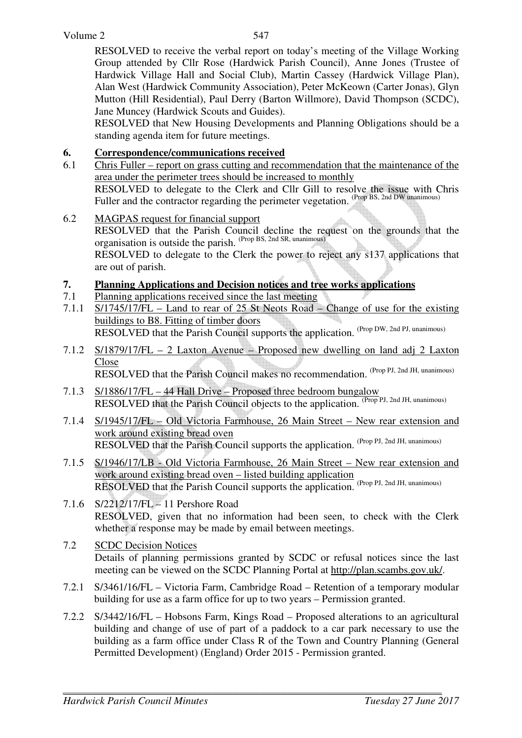RESOLVED to receive the verbal report on today's meeting of the Village Working Group attended by Cllr Rose (Hardwick Parish Council), Anne Jones (Trustee of Hardwick Village Hall and Social Club), Martin Cassey (Hardwick Village Plan), Alan West (Hardwick Community Association), Peter McKeown (Carter Jonas), Glyn Mutton (Hill Residential), Paul Derry (Barton Willmore), David Thompson (SCDC), Jane Muncey (Hardwick Scouts and Guides).

 RESOLVED that New Housing Developments and Planning Obligations should be a standing agenda item for future meetings.

# **6. Correspondence/communications received**

- 6.1 Chris Fuller report on grass cutting and recommendation that the maintenance of the area under the perimeter trees should be increased to monthly RESOLVED to delegate to the Clerk and Cllr Gill to resolve the issue with Chris Fuller and the contractor regarding the perimeter vegetation. (Prop BS, 2nd DW unanimous)
- 6.2 MAGPAS request for financial support RESOLVED that the Parish Council decline the request on the grounds that the organisation is outside the parish. <sup>(Prop BS, 2nd SR, unanimous)</sup> RESOLVED to delegate to the Clerk the power to reject any s137 applications that are out of parish.

# **7. Planning Applications and Decision notices and tree works applications**

- 7.1 Planning applications received since the last meeting
- 7.1.1 S/1745/17/FL Land to rear of 25 St Neots Road Change of use for the existing buildings to B8. Fitting of timber doors RESOLVED that the Parish Council supports the application. (Prop DW, 2nd PJ, unanimous)
- 7.1.2 S/1879/17/FL 2 Laxton Avenue Proposed new dwelling on land adj 2 Laxton Close RESOLVED that the Parish Council makes no recommendation. (Prop PJ, 2nd JH, unanimous)
- 7.1.3 S/1886/17/FL 44 Hall Drive Proposed three bedroom bungalow RESOLVED that the Parish Council objects to the application. (Prop PJ, 2nd JH, unanimous)
- 7.1.4 S/1945/17/FL Old Victoria Farmhouse, 26 Main Street New rear extension and work around existing bread oven RESOLVED that the Parish Council supports the application. (Prop PJ, 2nd JH, unanimous)
- 7.1.5 S/1946/17/LB Old Victoria Farmhouse, 26 Main Street New rear extension and work around existing bread oven – listed building application RESOLVED that the Parish Council supports the application. (Prop PJ, 2nd JH, unanimous)
- 7.1.6 S/2212/17/FL 11 Pershore Road RESOLVED, given that no information had been seen, to check with the Clerk whether a response may be made by email between meetings.
- 7.2 SCDC Decision Notices Details of planning permissions granted by SCDC or refusal notices since the last meeting can be viewed on the SCDC Planning Portal at http://plan.scambs.gov.uk/.
- 7.2.1 S/3461/16/FL Victoria Farm, Cambridge Road Retention of a temporary modular building for use as a farm office for up to two years – Permission granted.
- 7.2.2 S/3442/16/FL Hobsons Farm, Kings Road Proposed alterations to an agricultural building and change of use of part of a paddock to a car park necessary to use the building as a farm office under Class R of the Town and Country Planning (General Permitted Development) (England) Order 2015 - Permission granted.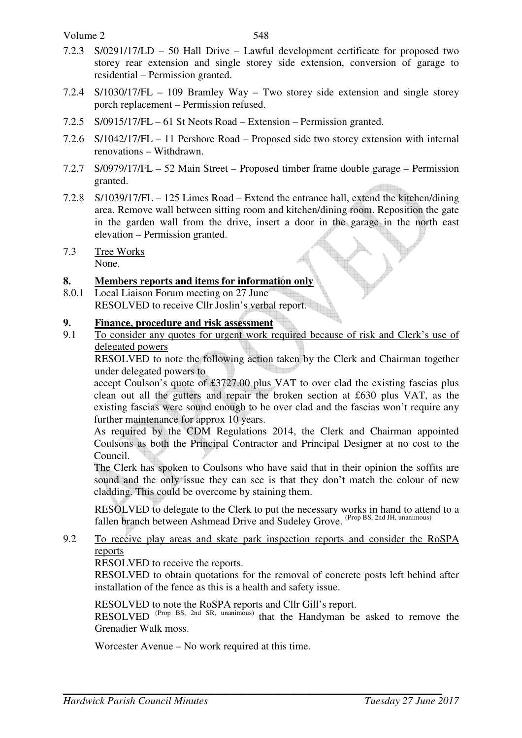Volume 2

- 7.2.3 S/0291/17/LD 50 Hall Drive Lawful development certificate for proposed two storey rear extension and single storey side extension, conversion of garage to residential – Permission granted.
- 7.2.4 S/1030/17/FL 109 Bramley Way Two storey side extension and single storey porch replacement – Permission refused.
- 7.2.5 S/0915/17/FL 61 St Neots Road Extension Permission granted.
- 7.2.6 S/1042/17/FL 11 Pershore Road Proposed side two storey extension with internal renovations – Withdrawn.
- 7.2.7 S/0979/17/FL 52 Main Street Proposed timber frame double garage Permission granted.
- 7.2.8 S/1039/17/FL 125 Limes Road Extend the entrance hall, extend the kitchen/dining area. Remove wall between sitting room and kitchen/dining room. Reposition the gate in the garden wall from the drive, insert a door in the garage in the north east elevation – Permission granted.
- 7.3 Tree Works None.

## **8. Members reports and items for information only**

8.0.1 Local Liaison Forum meeting on 27 June RESOLVED to receive Cllr Joslin's verbal report.

#### **9. Finance, procedure and risk assessment**

9.1 To consider any quotes for urgent work required because of risk and Clerk's use of delegated powers

 RESOLVED to note the following action taken by the Clerk and Chairman together under delegated powers to

accept Coulson's quote of £3727.00 plus VAT to over clad the existing fascias plus clean out all the gutters and repair the broken section at £630 plus VAT, as the existing fascias were sound enough to be over clad and the fascias won't require any further maintenance for approx 10 years.

As required by the CDM Regulations 2014, the Clerk and Chairman appointed Coulsons as both the Principal Contractor and Principal Designer at no cost to the Council.

The Clerk has spoken to Coulsons who have said that in their opinion the soffits are sound and the only issue they can see is that they don't match the colour of new cladding. This could be overcome by staining them.

 RESOLVED to delegate to the Clerk to put the necessary works in hand to attend to a fallen branch between Ashmead Drive and Sudeley Grove. <sup>(Prop BS, 2nd JH, unanimous)</sup>

## 9.2 To receive play areas and skate park inspection reports and consider the RoSPA reports

RESOLVED to receive the reports.

RESOLVED to obtain quotations for the removal of concrete posts left behind after installation of the fence as this is a health and safety issue.

RESOLVED to note the RoSPA reports and Cllr Gill's report.

RESOLVED <sup>(Prop BS, 2nd SR, unanimous)</sup> that the Handyman be asked to remove the Grenadier Walk moss.

Worcester Avenue – No work required at this time.